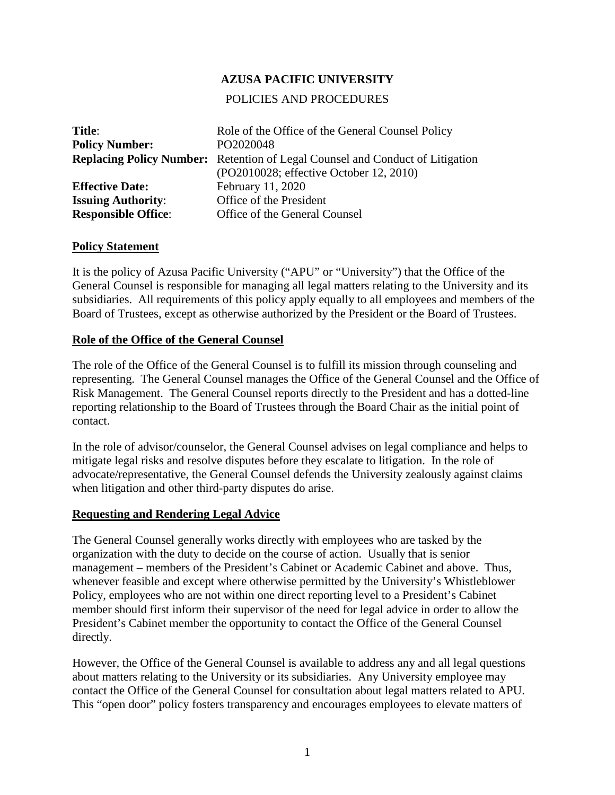## **AZUSA PACIFIC UNIVERSITY**

### POLICIES AND PROCEDURES

| Title:                     | Role of the Office of the General Counsel Policy                                     |
|----------------------------|--------------------------------------------------------------------------------------|
| <b>Policy Number:</b>      | PO2020048                                                                            |
|                            | <b>Replacing Policy Number:</b> Retention of Legal Counsel and Conduct of Litigation |
|                            | (PO2010028; effective October 12, 2010)                                              |
| <b>Effective Date:</b>     | February 11, 2020                                                                    |
| <b>Issuing Authority:</b>  | Office of the President                                                              |
| <b>Responsible Office:</b> | Office of the General Counsel                                                        |

#### **Policy Statement**

It is the policy of Azusa Pacific University ("APU" or "University") that the Office of the General Counsel is responsible for managing all legal matters relating to the University and its subsidiaries. All requirements of this policy apply equally to all employees and members of the Board of Trustees, except as otherwise authorized by the President or the Board of Trustees.

#### **Role of the Office of the General Counsel**

The role of the Office of the General Counsel is to fulfill its mission through counseling and representing. The General Counsel manages the Office of the General Counsel and the Office of Risk Management. The General Counsel reports directly to the President and has a dotted-line reporting relationship to the Board of Trustees through the Board Chair as the initial point of contact.

In the role of advisor/counselor, the General Counsel advises on legal compliance and helps to mitigate legal risks and resolve disputes before they escalate to litigation. In the role of advocate/representative, the General Counsel defends the University zealously against claims when litigation and other third-party disputes do arise.

### **Requesting and Rendering Legal Advice**

The General Counsel generally works directly with employees who are tasked by the organization with the duty to decide on the course of action. Usually that is senior management – members of the President's Cabinet or Academic Cabinet and above. Thus, whenever feasible and except where otherwise permitted by the University's Whistleblower Policy, employees who are not within one direct reporting level to a President's Cabinet member should first inform their supervisor of the need for legal advice in order to allow the President's Cabinet member the opportunity to contact the Office of the General Counsel directly.

However, the Office of the General Counsel is available to address any and all legal questions about matters relating to the University or its subsidiaries. Any University employee may contact the Office of the General Counsel for consultation about legal matters related to APU. This "open door" policy fosters transparency and encourages employees to elevate matters of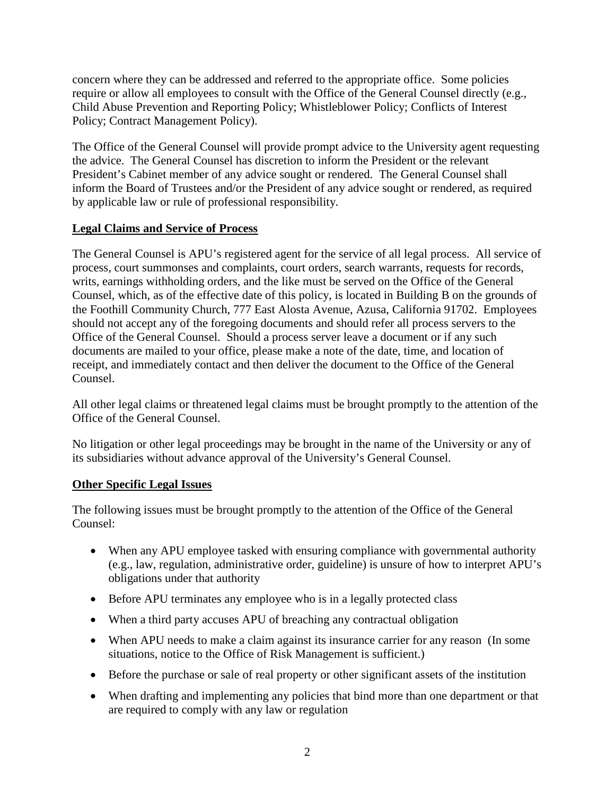concern where they can be addressed and referred to the appropriate office. Some policies require or allow all employees to consult with the Office of the General Counsel directly (e.g., Child Abuse Prevention and Reporting Policy; Whistleblower Policy; Conflicts of Interest Policy; Contract Management Policy).

The Office of the General Counsel will provide prompt advice to the University agent requesting the advice. The General Counsel has discretion to inform the President or the relevant President's Cabinet member of any advice sought or rendered. The General Counsel shall inform the Board of Trustees and/or the President of any advice sought or rendered, as required by applicable law or rule of professional responsibility.

# **Legal Claims and Service of Process**

The General Counsel is APU's registered agent for the service of all legal process. All service of process, court summonses and complaints, court orders, search warrants, requests for records, writs, earnings withholding orders, and the like must be served on the Office of the General Counsel, which, as of the effective date of this policy, is located in Building B on the grounds of the Foothill Community Church, 777 East Alosta Avenue, Azusa, California 91702. Employees should not accept any of the foregoing documents and should refer all process servers to the Office of the General Counsel. Should a process server leave a document or if any such documents are mailed to your office, please make a note of the date, time, and location of receipt, and immediately contact and then deliver the document to the Office of the General Counsel.

All other legal claims or threatened legal claims must be brought promptly to the attention of the Office of the General Counsel.

No litigation or other legal proceedings may be brought in the name of the University or any of its subsidiaries without advance approval of the University's General Counsel.

## **Other Specific Legal Issues**

The following issues must be brought promptly to the attention of the Office of the General Counsel:

- When any APU employee tasked with ensuring compliance with governmental authority (e.g., law, regulation, administrative order, guideline) is unsure of how to interpret APU's obligations under that authority
- Before APU terminates any employee who is in a legally protected class
- When a third party accuses APU of breaching any contractual obligation
- When APU needs to make a claim against its insurance carrier for any reason (In some situations, notice to the Office of Risk Management is sufficient.)
- Before the purchase or sale of real property or other significant assets of the institution
- When drafting and implementing any policies that bind more than one department or that are required to comply with any law or regulation